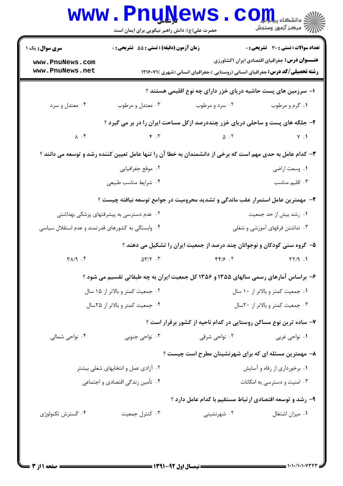| www.PnuNews                                       | حضرت علی(ع): دانش راهبر نیکویی برای ایمان است |                                                                                                            | الله دانشکاه پیابازاد<br>الله عرکز آزمون وسنجش        |  |
|---------------------------------------------------|-----------------------------------------------|------------------------------------------------------------------------------------------------------------|-------------------------------------------------------|--|
| <b>سری سوال :</b> یک ۱                            | زمان آزمون (دقیقه) : تستی : 55 آتشریحی : 0    |                                                                                                            | تعداد سوالات : تستي : 30 ٪ تشريحي : 0                 |  |
| www.PnuNews.com<br>www.PnuNews.net                |                                               | <b>رشته تحصیلی/کد درس:</b> جغرافیای انسانی (روستایی )،جغرافیای انسانی (شهری )۲۱۶۰۷۱ ۱                      | <b>عنــــوان درس:</b> جغرافیای اقتصادی ایران ۱کشاورزی |  |
|                                                   |                                               | ا– سرزمین های پست حاشیه دریای خزر دارای چه نوع اقلیمی هستند ؟                                              |                                                       |  |
| ۰۴ معتدل و سرد                                    | ۰۳ معتدل و مرطوب                              | ۰۲ سرد و مرطوب                                                                                             | ۰۱ گرم و مرطوب                                        |  |
|                                                   |                                               | ۲- جلگه های پست و ساحلی دریای خزر چنددرصد ازکل مساحت ایران را در بر می گیرد ؟                              |                                                       |  |
| $\lambda$ .۴                                      |                                               | $\gamma$ . T and $\gamma$ is the set of $\gamma$                                                           | $Y \cdot Y$                                           |  |
|                                                   |                                               | ۳– کدام عامل به حدی مهم است که برخی از دانشمندان به خطا آن را تنها عامل تعیین کننده رشد و توسعه می دانند ؟ |                                                       |  |
|                                                   | ۰۲ موقع جغرافیایی                             |                                                                                                            | ٠١ وسعت اراضي                                         |  |
|                                                   | ۰۴ شرايط مناسب طبيعي                          |                                                                                                            | ۰۳ اقلیم مناسب                                        |  |
|                                                   |                                               | ۴- مهمترین عامل استمرار عقب ماندگی و تشدید محرومیت در جوامع توسعه نیافته چیست ؟                            |                                                       |  |
|                                                   | ۰۲ عدم دسترسی به پیشرفتهای پزشکی بهداشتی      | ۰۱ رشد بیش از حد جمعیت                                                                                     |                                                       |  |
| ۰۴ وابستگی به کشورهای قدرتمند و عدم استقلال سیاسی |                                               | ۰۳ نداشتن فرقهای آموزشی و شغلی                                                                             |                                                       |  |
|                                                   |                                               | ۵– گروه سنی کودکان و نوجوانان چند درصد از جمعیت ایران را تشکیل می دهند ؟                                   |                                                       |  |
| $\mathcal{M} \wedge \mathcal{M}$                  | $\Delta \Upsilon / \Upsilon$ . $\Upsilon$     | $\mathcal{F}(\mathcal{S})$ .                                                                               | YY/9.1                                                |  |
|                                                   |                                               | ۶- براساس آمارهای رسمی سالهای ۱۳۵۵ و ۱۳۵۶ کل جمعیت ایران به چه طبقاتی تقسیم می شود ؟                       |                                                       |  |
|                                                   | ۰۲ جمعیت کمتر و بالاتر از ۱۵ سال              | ۰۱ جمعیت کمتر و بالاتر از ۱۰ سال                                                                           |                                                       |  |
|                                                   | ۰۴ جمعیت کمتر و بالاتر از ۲۵سال               |                                                                                                            | ۰۳ جمعیت کمتر و بالاتر از ۲۰سال                       |  |
|                                                   |                                               | ۷– ساده ترین نوع مساکن روستایی در کدام ناحیه از کشور برقرار است ؟                                          |                                                       |  |
| ۰۴ نواحی شمالی                                    | ۰۳ نواحی جنوبی                                | ۰۲ نواحی شرقی                                                                                              | ۰۱ نواحي غربي                                         |  |
|                                                   |                                               | ۸- مهمترین مسئله ای که برای شهرنشینان مطرح است چیست ؟                                                      |                                                       |  |
|                                                   | ۰۲ آزادی عمل و انتخابهای شغلی بیشتر           | ۰۱ برخورداری از رفاه و آسایش                                                                               |                                                       |  |
|                                                   | ۰۴ تأمین زندگی اقتصادی و اجتماعی              | ۰۳ امنیت و دسترسی به امکانات                                                                               |                                                       |  |
|                                                   |                                               | ۹- رشد و توسعه اقتصادی ارتباط مستقیم با کدام عامل دارد ؟                                                   |                                                       |  |
| ۰۴ گسترش تکنولوژی                                 | ۰۳ کنترل جمعیت                                | ۰۲ شهرنشینی                                                                                                | ۰۱ میزان اشتغال                                       |  |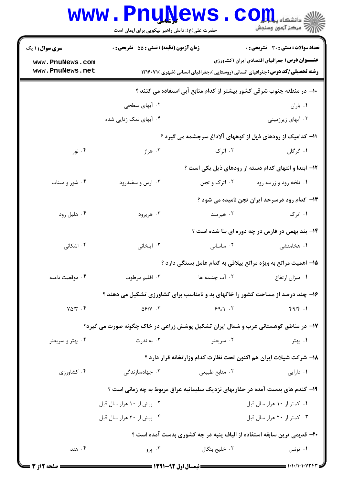|                                                                                | <b>www.PnuNews</b>                                                                 |                            | ني دانشڪاه پ <b>يا پايل∫</b>                                                                                                                   |  |  |  |
|--------------------------------------------------------------------------------|------------------------------------------------------------------------------------|----------------------------|------------------------------------------------------------------------------------------------------------------------------------------------|--|--|--|
|                                                                                | حضرت علی(ع): دانش راهبر نیکویی برای ایمان است                                      |                            | سنجز آزمون وسنجش                                                                                                                               |  |  |  |
| <b>سری سوال :</b> ۱ یک                                                         | <b>زمان آزمون (دقیقه) : تستی : 55 تشریحی : 0</b>                                   |                            | <b>تعداد سوالات : تستی : 30 ٪ تشریحی : 0</b>                                                                                                   |  |  |  |
| www.PnuNews.com<br>www.PnuNews.net                                             |                                                                                    |                            | <b>عنــــوان درس:</b> جغرافیای اقتصادی ایران ۱کشاورزی<br><b>رشته تحصیلی/کد درس:</b> جغرافیای انسانی (روستایی )،جغرافیای انسانی (شهری )۲۱۶۰۷۱ ۱ |  |  |  |
|                                                                                | ∙ا− در منطقه جنوب شرقی کشور بیشتر از کدام منابع آبی استفاده می کنند ؟              |                            |                                                                                                                                                |  |  |  |
|                                                                                | ۰۲ آبهای سطحی                                                                      |                            | ٠١ باران                                                                                                                                       |  |  |  |
|                                                                                | ۰۴ آبهای نمک زدایی شده                                                             |                            | ۰۳ آبهای زیرزمینی                                                                                                                              |  |  |  |
|                                                                                |                                                                                    |                            | 1۱- کدامیک از رودهای ذیل از کوههای آلاداغ سرچشمه می گیرد ؟                                                                                     |  |  |  |
| ۰۴ نور                                                                         | ۰۳ هراز                                                                            | ۰۲ اترک                    | ۰۱ گرگان                                                                                                                                       |  |  |  |
|                                                                                | ۱۲- ابتدا و انتهای کدام دسته از رودهای ذیل یکی است ؟                               |                            |                                                                                                                                                |  |  |  |
| ۰۴ شور و میناب                                                                 | ۰۳ ارس و سفیدرود                                                                   | ۰۲ اترک و تجن              | ۰۱ تلخه رود و زرینه رود                                                                                                                        |  |  |  |
|                                                                                |                                                                                    |                            | ۱۳- کدام رود درسرحد ایران تجن نامیده می شود ؟                                                                                                  |  |  |  |
| ۰۴ هليل رود                                                                    | ۰۳ هريرود                                                                          | ۰۲ هیرمند                  | ۱. اترک                                                                                                                                        |  |  |  |
|                                                                                |                                                                                    |                            | <b>۱۴</b> - بند بهمن در فارس در چه دوره ای بنا شده است ؟                                                                                       |  |  |  |
| ۰۴ اشکانی                                                                      | ۰۳ ایلخانی                                                                         | ۰۲ ساسانی                  | <b>۱</b> . هخامنشی                                                                                                                             |  |  |  |
|                                                                                |                                                                                    |                            | 15- اهمیت مراتع به ویژه مراتع پیلاقی به کدام عامل بستگی دارد ؟                                                                                 |  |  |  |
| ۰۴ موقعیت دامنه                                                                | ۰۳ اقلیم مرطوب                                                                     | ۰۲ آب چشمه ها              | ٠١ ميزان ارتفاع                                                                                                                                |  |  |  |
|                                                                                | ۱۶- چند درصد از مساحت کشور را خاکهای بد و نامناسب برای کشاورزی تشکیل می دهند ؟     |                            |                                                                                                                                                |  |  |  |
| $Y\Delta/Y$ .                                                                  | $\Delta$ ۶/۷.۳                                                                     | 59/1.7                     | f9/F.1                                                                                                                                         |  |  |  |
|                                                                                | ۱۷- در مناطق کوهستانی غرب و شمال ایران تشکیل پوشش زراعی در خاک چگونه صورت می گیرد؟ |                            |                                                                                                                                                |  |  |  |
| ۰۴ بهتر و سریعتر                                                               | ۰۳ به ندرت                                                                         | ۰۲ سریعتر                  | ۰۱ بهتر                                                                                                                                        |  |  |  |
|                                                                                |                                                                                    |                            | ۱۸- شرکت شیلات ایران هم اکنون تحت نظارت کدام وزارتخانه قرار دارد ؟                                                                             |  |  |  |
| ۰۴ کشاورزی                                                                     | ۰۳ جهادسازندگ <i>ی</i>                                                             | ۰۲ منابع طبیعی             | ۰۱ دارایی                                                                                                                                      |  |  |  |
|                                                                                | ۱۹- گندم های بدست آمده در حفاریهای نزدیک سلیمانیه عراق مربوط به چه زمانی است ؟     |                            |                                                                                                                                                |  |  |  |
|                                                                                | ۰۲ بیش از ۱۰ هزار سال قبل                                                          | ۰۱ کمتر از ۱۰ هزار سال قبل |                                                                                                                                                |  |  |  |
|                                                                                | ۰۴ بیش از ۲۰ هزار سال قبل                                                          | ۰۳ کمتر از ۲۰ هزار سال قبل |                                                                                                                                                |  |  |  |
| <b>۲۰</b> - قدیمی ترین سابقه استفاده از الیاف پنبه در چه کشوری بدست آمده است ؟ |                                                                                    |                            |                                                                                                                                                |  |  |  |
| ۰۴ هند                                                                         | ۰۳ پرو                                                                             | ۰۲ خلیج بنگال              | ۰۱ تونس                                                                                                                                        |  |  |  |